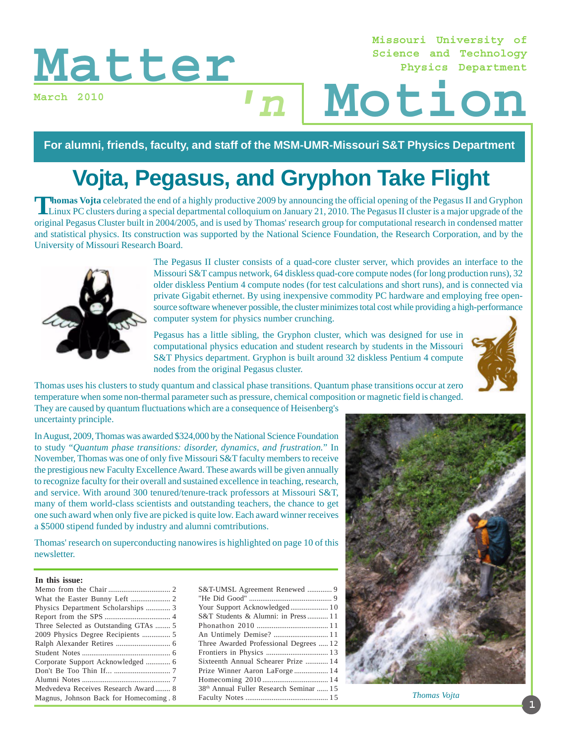**March 2010**

#### **Missouri University of Science and Technology Physics Department**

# Matter<sub>*nath 2010*<br>March 2010<br>Motion</sub>  $\mathbf{n}$

**For alumni, friends, faculty, and staff of the MSM-UMR-Missouri S&T Physics Department**

# **Vojta, Pegasus, and Gryphon Take Flight**

Thomas Vojta celebrated the end of a highly productive 2009 by announcing the official opening of the Pegasus II and Gryphon<br>Linux PC clusters during a special departmental colloquium on January 21, 2010. The Pegasus II cl original Pegasus Cluster built in 2004/2005, and is used by Thomas' research group for computational research in condensed matter and statistical physics. Its construction was supported by the National Science Foundation, the Research Corporation, and by the University of Missouri Research Board.



The Pegasus II cluster consists of a quad-core cluster server, which provides an interface to the Missouri S&T campus network, 64 diskless quad-core compute nodes (for long production runs), 32 older diskless Pentium 4 compute nodes (for test calculations and short runs), and is connected via private Gigabit ethernet. By using inexpensive commodity PC hardware and employing free opensource software whenever possible, the cluster minimizes total cost while providing a high-performance computer system for physics number crunching.

Pegasus has a little sibling, the Gryphon cluster, which was designed for use in computational physics education and student research by students in the Missouri S&T Physics department. Gryphon is built around 32 diskless Pentium 4 compute nodes from the original Pegasus cluster.



Thomas uses his clusters to study quantum and classical phase transitions. Quantum phase transitions occur at zero temperature when some non-thermal parameter such as pressure, chemical composition or magnetic field is changed.

They are caused by quantum fluctuations which are a consequence of Heisenberg's uncertainty principle.

In August, 2009, Thomas was awarded \$324,000 by the National Science Foundation to study "*Quantum phase transitions: disorder, dynamics, and frustration.*" In November, Thomas was one of only five Missouri S&T faculty members to receive the prestigious new Faculty Excellence Award. These awards will be given annually to recognize faculty for their overall and sustained excellence in teaching, research, and service. With around 300 tenured/tenure-track professors at Missouri S&T, many of them world-class scientists and outstanding teachers, the chance to get one such award when only five are picked is quite low. Each award winner receives a \$5000 stipend funded by industry and alumni comtributions.

Thomas' research on superconducting nanowires is highlighted on page 10 of this newsletter.

#### **In this issue:**

| S&T-UMSL Agreement Renewed  9           |  |
|-----------------------------------------|--|
|                                         |  |
| Your Support Acknowledged 10            |  |
| S&T Students & Alumni: in Press 11      |  |
|                                         |  |
|                                         |  |
| Three Awarded Professional Degrees  12  |  |
|                                         |  |
| Sixteenth Annual Schearer Prize  14     |  |
| Prize Winner Aaron LaForge  14          |  |
|                                         |  |
| 38th Annual Fuller Research Seminar  15 |  |
|                                         |  |
|                                         |  |



*Thomas Vojta*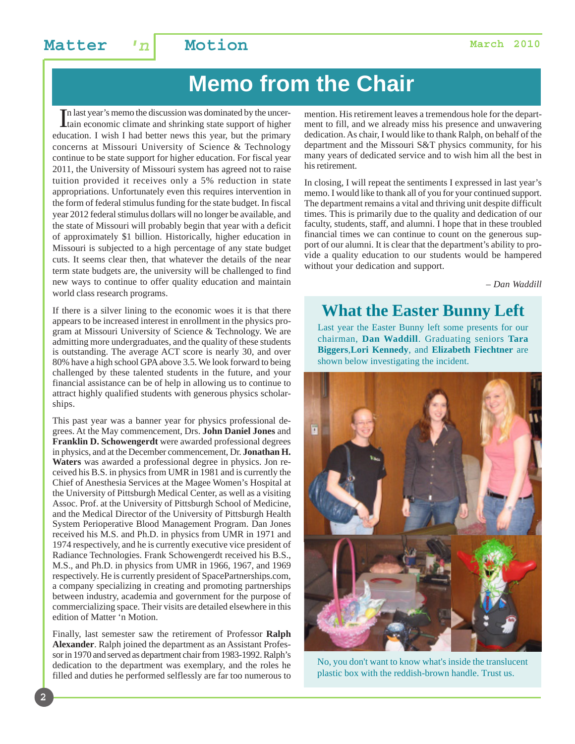### **Matter**  $n \mid$  **Motion Matter March 2010**

# **Memo from the Chair**

In last year's memo the discussion was dominated by the uncertain economic climate and shrinking state support of higher tain economic climate and shrinking state support of higher education. I wish I had better news this year, but the primary concerns at Missouri University of Science & Technology continue to be state support for higher education. For fiscal year 2011, the University of Missouri system has agreed not to raise tuition provided it receives only a 5% reduction in state appropriations. Unfortunately even this requires intervention in the form of federal stimulus funding for the state budget. In fiscal year 2012 federal stimulus dollars will no longer be available, and the state of Missouri will probably begin that year with a deficit of approximately \$1 billion. Historically, higher education in Missouri is subjected to a high percentage of any state budget cuts. It seems clear then, that whatever the details of the near term state budgets are, the university will be challenged to find new ways to continue to offer quality education and maintain world class research programs.

If there is a silver lining to the economic woes it is that there appears to be increased interest in enrollment in the physics program at Missouri University of Science & Technology. We are admitting more undergraduates, and the quality of these students is outstanding. The average ACT score is nearly 30, and over 80% have a high school GPA above 3.5. We look forward to being challenged by these talented students in the future, and your financial assistance can be of help in allowing us to continue to attract highly qualified students with generous physics scholarships.

This past year was a banner year for physics professional degrees. At the May commencement, Drs. **John Daniel Jones** and **Franklin D. Schowengerdt** were awarded professional degrees in physics, and at the December commencement, Dr. **Jonathan H. Waters** was awarded a professional degree in physics. Jon received his B.S. in physics from UMR in 1981 and is currently the Chief of Anesthesia Services at the Magee Women's Hospital at the University of Pittsburgh Medical Center, as well as a visiting Assoc. Prof. at the University of Pittsburgh School of Medicine, and the Medical Director of the University of Pittsburgh Health System Perioperative Blood Management Program. Dan Jones received his M.S. and Ph.D. in physics from UMR in 1971 and 1974 respectively, and he is currently executive vice president of Radiance Technologies. Frank Schowengerdt received his B.S., M.S., and Ph.D. in physics from UMR in 1966, 1967, and 1969 respectively. He is currently president of SpacePartnerships.com, a company specializing in creating and promoting partnerships between industry, academia and government for the purpose of commercializing space. Their visits are detailed elsewhere in this edition of Matter 'n Motion.

Finally, last semester saw the retirement of Professor **Ralph Alexander**. Ralph joined the department as an Assistant Professor in 1970 and served as department chair from 1983-1992. Ralph's dedication to the department was exemplary, and the roles he filled and duties he performed selflessly are far too numerous to

mention. His retirement leaves a tremendous hole for the department to fill, and we already miss his presence and unwavering dedication. As chair, I would like to thank Ralph, on behalf of the department and the Missouri S&T physics community, for his many years of dedicated service and to wish him all the best in his retirement.

In closing, I will repeat the sentiments I expressed in last year's memo. I would like to thank all of you for your continued support. The department remains a vital and thriving unit despite difficult times. This is primarily due to the quality and dedication of our faculty, students, staff, and alumni. I hope that in these troubled financial times we can continue to count on the generous support of our alumni. It is clear that the department's ability to provide a quality education to our students would be hampered without your dedication and support.

*– Dan Waddill*

### **What the Easter Bunny Left**

Last year the Easter Bunny left some presents for our chairman, **Dan Waddill**. Graduating seniors **Tara Biggers**,**Lori Kennedy**, and **Elizabeth Fiechtner** are shown below investigating the incident.



No, you don't want to know what's inside the translucent plastic box with the reddish-brown handle. Trust us.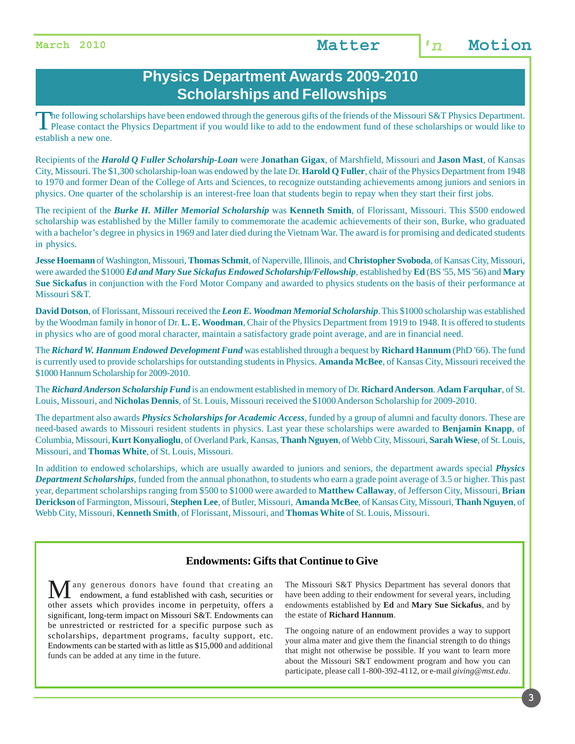### **Physics Department Awards 2009-2010 Scholarships and Fellowships**

The following scholarships have been endowed through the generous gifts of the friends of the Missouri S&T Physics Department. Please contact the Physics Department if you would like to add to the endowment fund of these scholarships or would like to establish a new one.

Recipients of the *Harold Q Fuller Scholarship-Loan* were **Jonathan Gigax**, of Marshfield, Missouri and **Jason Mast**, of Kansas City, Missouri. The \$1,300 scholarship-loan was endowed by the late Dr. **Harold Q Fuller**, chair of the Physics Department from 1948 to 1970 and former Dean of the College of Arts and Sciences, to recognize outstanding achievements among juniors and seniors in physics. One quarter of the scholarship is an interest-free loan that students begin to repay when they start their first jobs.

The recipient of the *Burke H. Miller Memorial Scholarship* was **Kenneth Smith**, of Florissant, Missouri. This \$500 endowed scholarship was established by the Miller family to commemorate the academic achievements of their son, Burke, who graduated with a bachelor's degree in physics in 1969 and later died during the Vietnam War. The award is for promising and dedicated students in physics.

**Jesse Hoemann** of Washington, Missouri, **Thomas Schmit**, of Naperville, Illinois, and **Christopher Svoboda**, of Kansas City, Missouri, were awarded the \$1000 *Ed and Mary Sue Sickafus Endowed Scholarship/Fellowship*, established by **Ed** (BS '55, MS '56) and **Mary Sue Sickafus** in conjunction with the Ford Motor Company and awarded to physics students on the basis of their performance at Missouri S&T.

**David Dotson**, of Florissant, Missouri received the *Leon E. Woodman Memorial Scholarship*. This \$1000 scholarship was established by the Woodman family in honor of Dr. **L. E. Woodman**, Chair of the Physics Department from 1919 to 1948. It is offered to students in physics who are of good moral character, maintain a satisfactory grade point average, and are in financial need.

The *Richard W. Hannum Endowed Development Fund* was established through a bequest by **Richard Hannum** (PhD '66). The fund is currently used to provide scholarships for outstanding students in Physics. **Amanda McBee**, of Kansas City, Missouri received the \$1000 Hannum Scholarship for 2009-2010.

The *Richard Anderson Scholarship Fund* is an endowment established in memory of Dr. **Richard Anderson**. **Adam Farquhar**, of St. Louis, Missouri, and **Nicholas Dennis**, of St. Louis, Missouri received the \$1000 Anderson Scholarship for 2009-2010.

The department also awards *Physics Scholarships for Academic Access*, funded by a group of alumni and faculty donors. These are need-based awards to Missouri resident students in physics. Last year these scholarships were awarded to **Benjamin Knapp**, of Columbia, Missouri, **Kurt Konyalioglu**, of Overland Park, Kansas, **Thanh Nguyen**, of Webb City, Missouri, **Sarah Wiese**, of St. Louis, Missouri, and **Thomas White**, of St. Louis, Missouri.

In addition to endowed scholarships, which are usually awarded to juniors and seniors, the department awards special *Physics Department Scholarships*, funded from the annual phonathon, to students who earn a grade point average of 3.5 or higher. This past year, department scholarships ranging from \$500 to \$1000 were awarded to **Matthew Callaway**, of Jefferson City, Missouri, **Brian Derickson** of Farmington, Missouri, **Stephen Lee**, of Butler, Missouri, **Amanda McBee**, of Kansas City, Missouri, **Thanh Nguyen**, of Webb City, Missouri, **Kenneth Smith**, of Florissant, Missouri, and **Thomas White** of St. Louis, Missouri.

#### **Endowments: Gifts that Continue to Give**

any generous donors have found that creating an endowment, a fund established with cash, securities or other assets which provides income in perpetuity, offers a significant, long-term impact on Missouri S&T. Endowments can be unrestricted or restricted for a specific purpose such as scholarships, department programs, faculty support, etc. Endowments can be started with as little as \$15,000 and additional funds can be added at any time in the future.

The Missouri S&T Physics Department has several donors that have been adding to their endowment for several years, including endowments established by **Ed** and **Mary Sue Sickafus**, and by the estate of **Richard Hannum**.

The ongoing nature of an endowment provides a way to support your alma mater and give them the financial strength to do things that might not otherwise be possible. If you want to learn more about the Missouri S&T endowment program and how you can participate, please call 1-800-392-4112, or e-mail *giving@mst.edu*.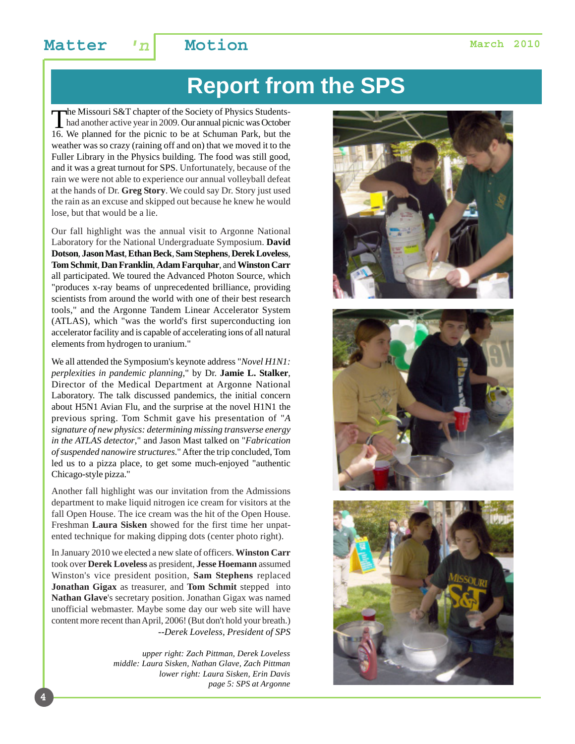# **Report from the SPS**

The Missouri S&T chapter of the Society of Physics Students-<br>had another active year in 2009. Our annual picnic was October<br>16. We planned for the picnic to be at Schuman Park, but the 16. We planned for the picnic to be at Schuman Park, but the weather was so crazy (raining off and on) that we moved it to the Fuller Library in the Physics building. The food was still good, and it was a great turnout for SPS. Unfortunately, because of the rain we were not able to experience our annual volleyball defeat at the hands of Dr. **Greg Story**. We could say Dr. Story just used the rain as an excuse and skipped out because he knew he would lose, but that would be a lie.

Our fall highlight was the annual visit to Argonne National Laboratory for the National Undergraduate Symposium. **David Dotson**, **Jason Mast**, **Ethan Beck**, **Sam Stephens**, **Derek Loveless**, **Tom Schmit**, **Dan Franklin**, **Adam Farquhar**, and **Winston Carr** all participated. We toured the Advanced Photon Source, which "produces x-ray beams of unprecedented brilliance, providing scientists from around the world with one of their best research tools," and the Argonne Tandem Linear Accelerator System (ATLAS), which "was the world's first superconducting ion accelerator facility and is capable of accelerating ions of all natural elements from hydrogen to uranium."

We all attended the Symposium's keynote address "*Novel H1N1: perplexities in pandemic planning*," by Dr. **Jamie L. Stalker**, Director of the Medical Department at Argonne National Laboratory. The talk discussed pandemics, the initial concern about H5N1 Avian Flu, and the surprise at the novel H1N1 the previous spring. Tom Schmit gave his presentation of "*A signature of new physics: determining missing transverse energy in the ATLAS detector*," and Jason Mast talked on "*Fabrication of suspended nanowire structures*." After the trip concluded, Tom led us to a pizza place, to get some much-enjoyed "authentic Chicago-style pizza."

Another fall highlight was our invitation from the Admissions department to make liquid nitrogen ice cream for visitors at the fall Open House. The ice cream was the hit of the Open House. Freshman **Laura Sisken** showed for the first time her unpatented technique for making dipping dots (center photo right).

In January 2010 we elected a new slate of officers. **Winston Carr** took over **Derek Loveless** as president, **Jesse Hoemann** assumed Winston's vice president position, **Sam Stephens** replaced **Jonathan Gigax** as treasurer, and **Tom Schmit** stepped into **Nathan Glave**'s secretary position. Jonathan Gigax was named unofficial webmaster. Maybe some day our web site will have content more recent than April, 2006! (But don't hold your breath.) *--Derek Loveless, President of SPS*

**4**

*upper right: Zach Pittman, Derek Loveless middle: Laura Sisken, Nathan Glave, Zach Pittman lower right: Laura Sisken, Erin Davis page 5: SPS at Argonne*





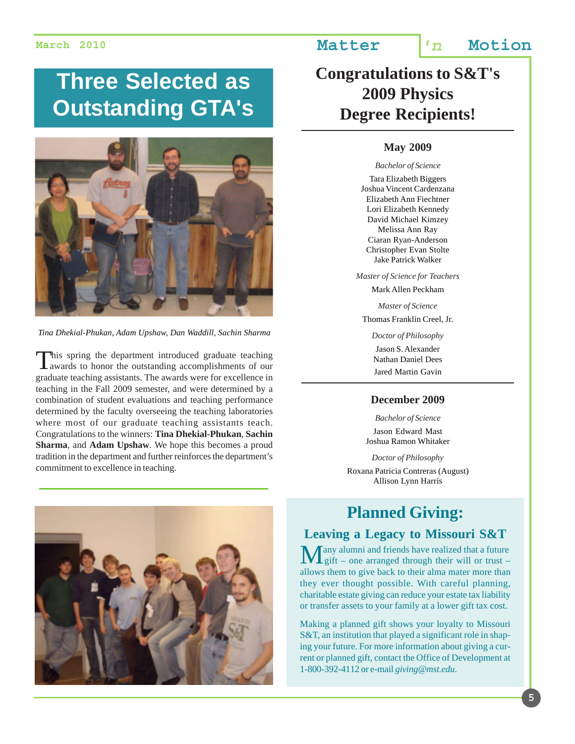# **Three Selected as Outstanding GTA's**



*Tina Dhekial-Phukan, Adam Upshaw, Dan Waddill, Sachin Sharma*

This spring the department introduced graduate teaching **L** awards to honor the outstanding accomplishments of our graduate teaching assistants. The awards were for excellence in teaching in the Fall 2009 semester, and were determined by a combination of student evaluations and teaching performance determined by the faculty overseeing the teaching laboratories where most of our graduate teaching assistants teach. Congratulations to the winners: **Tina Dhekial-Phukan**, **Sachin Sharma**, and **Adam Upshaw**. We hope this becomes a proud tradition in the department and further reinforces the department's commitment to excellence in teaching.



### **March 2010 Matter 'n Motion**

## **Congratulations to S&T's 2009 Physics Degree Recipients!**

#### **May 2009**

*Bachelor of Science*

Tara Elizabeth Biggers Joshua Vincent Cardenzana Elizabeth Ann Fiechtner Lori Elizabeth Kennedy David Michael Kimzey Melissa Ann Ray Ciaran Ryan-Anderson Christopher Evan Stolte Jake Patrick Walker

*Master of Science for Teachers*

Mark Allen Peckham

*Master of Science* Thomas Franklin Creel, Jr.

> *Doctor of Philosophy* Jason S. Alexander

Nathan Daniel Dees Jared Martin Gavin

#### **December 2009**

*Bachelor of Science* Jason Edward Mast Joshua Ramon Whitaker

*Doctor of Philosophy* Roxana Patricia Contreras (August) Allison Lynn Harris

### **Planned Giving:**

#### **Leaving a Legacy to Missouri S&T**

Tany alumni and friends have realized that a future  $\frac{1}{2}$ gift – one arranged through their will or trust – allows them to give back to their alma mater more than they ever thought possible. With careful planning, charitable estate giving can reduce your estate tax liability or transfer assets to your family at a lower gift tax cost.

Making a planned gift shows your loyalty to Missouri S&T, an institution that played a significant role in shaping your future. For more information about giving a current or planned gift, contact the Office of Development at 1-800-392-4112 or e-mail *giving@mst.edu*.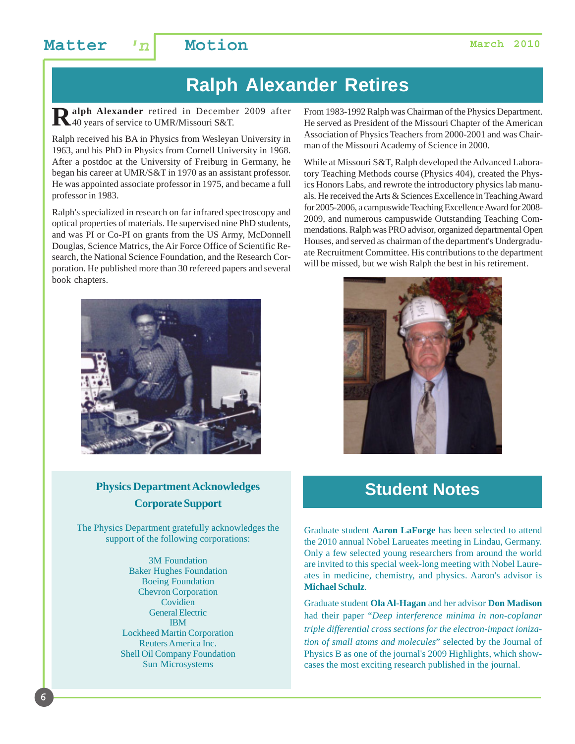## **Ralph Alexander Retires**

Ralph Alexander retired in December 2009 after 40 years of service to UMR/Missouri S&T.

Ralph received his BA in Physics from Wesleyan University in 1963, and his PhD in Physics from Cornell University in 1968. After a postdoc at the University of Freiburg in Germany, he began his career at UMR/S&T in 1970 as an assistant professor. He was appointed associate professor in 1975, and became a full professor in 1983.

Ralph's specialized in research on far infrared spectroscopy and optical properties of materials. He supervised nine PhD students, and was PI or Co-PI on grants from the US Army, McDonnell Douglas, Science Matrics, the Air Force Office of Scientific Research, the National Science Foundation, and the Research Corporation. He published more than 30 refereed papers and several book chapters.



#### **Physics Department Acknowledges Corporate Support**

The Physics Department gratefully acknowledges the support of the following corporations:

> 3M Foundation Baker Hughes Foundation Boeing Foundation Chevron Corporation Covidien General Electric IBM Lockheed Martin Corporation Reuters America Inc. Shell Oil Company Foundation Sun Microsystems

From 1983-1992 Ralph was Chairman of the Physics Department. He served as President of the Missouri Chapter of the American Association of Physics Teachers from 2000-2001 and was Chairman of the Missouri Academy of Science in 2000.

While at Missouri S&T, Ralph developed the Advanced Laboratory Teaching Methods course (Physics 404), created the Physics Honors Labs, and rewrote the introductory physics lab manuals. He received the Arts & Sciences Excellence in Teaching Award for 2005-2006, a campuswide Teaching Excellence Award for 2008- 2009, and numerous campuswide Outstanding Teaching Commendations. Ralph was PRO advisor, organized departmental Open Houses, and served as chairman of the department's Undergraduate Recruitment Committee. His contributions to the department will be missed, but we wish Ralph the best in his retirement.



## **Student Notes**

Graduate student **Aaron LaForge** has been selected to attend the 2010 annual Nobel Larueates meeting in Lindau, Germany. Only a few selected young researchers from around the world are invited to this special week-long meeting with Nobel Laureates in medicine, chemistry, and physics. Aaron's advisor is **Michael Schulz**.

Graduate student **Ola Al-Hagan** and her advisor **Don Madison** had their paper "*Deep interference minima in non-coplanar triple differential cross sections for the electron-impact ionization of small atoms and molecules*" selected by the Journal of Physics B as one of the journal's 2009 Highlights, which showcases the most exciting research published in the journal.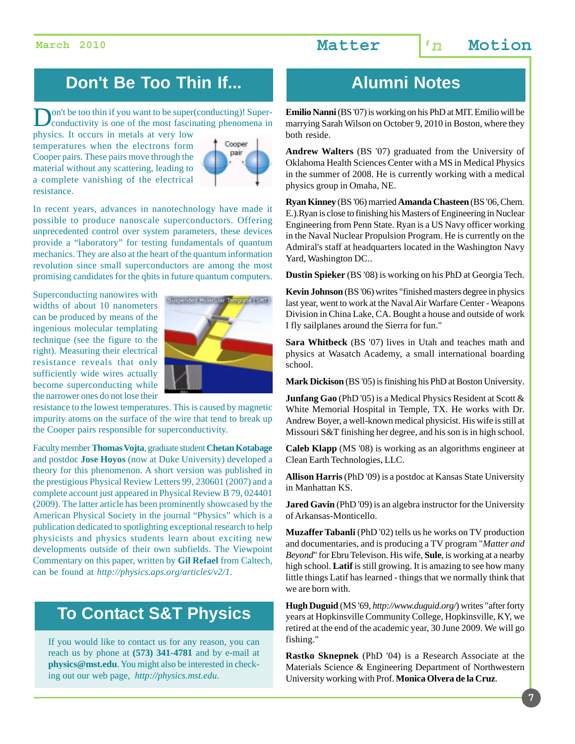## **Don't Be Too Thin If... Alumni Notes**

**Don't be too thin if you want to be super(conducting)! Super-**<br>conductivity is one of the most fascinating phenomena in

physics. It occurs in metals at very low temperatures when the electrons form Cooper pairs. These pairs move through the material without any scattering, leading to a complete vanishing of the electrical resistance.



In recent years, advances in nanotechnology have made it possible to produce nanoscale superconductors. Offering unprecedented control over system parameters, these devices provide a "laboratory" for testing fundamentals of quantum mechanics. They are also at the heart of the quantum information revolution since small superconductors are among the most promising candidates for the qbits in future quantum computers.

Superconducting nanowires with widths of about 10 nanometers can be produced by means of the ingenious molecular templating technique (see the figure to the right). Measuring their electrical resistance reveals that only sufficiently wide wires actually become superconducting while the narrower ones do not lose their



resistance to the lowest temperatures. This is caused by magnetic impurity atoms on the surface of the wire that tend to break up the Cooper pairs responsible for superconductivity.

Faculty member **Thomas Vojta**, graduate student **Chetan Kotabage** and postdoc **Jose Hoyos** (now at Duke University) developed a theory for this phenomenon. A short version was published in the prestigious Physical Review Letters 99, 230601 (2007) and a complete account just appeared in Physical Review B 79, 024401 (2009). The latter article has been prominently showcased by the American Physical Society in the journal "Physics" which is a publication dedicated to spotlighting exceptional research to help physicists and physics students learn about exciting new developments outside of their own subfields. The Viewpoint Commentary on this paper, written by **Gil Refael** from Caltech, can be found at *http://physics.aps.org/articles/v2/1*.

### **To Contact S&T Physics**

If you would like to contact us for any reason, you can reach us by phone at **(573) 341-4781** and by e-mail at **physics@mst.edu**. You might also be interested in checking out our web page, *http://physics.mst.edu*.

**Emilio Nanni** (BS '07) is working on his PhD at MIT. Emilio will be marrying Sarah Wilson on October 9, 2010 in Boston, where they both reside.

**Andrew Walters** (BS '07) graduated from the University of Oklahoma Health Sciences Center with a MS in Medical Physics in the summer of 2008. He is currently working with a medical physics group in Omaha, NE.

**Ryan Kinney** (BS '06) married **Amanda Chasteen** (BS '06, Chem. E.).Ryan is close to finishing his Masters of Engineering in Nuclear Engineering from Penn State. Ryan is a US Navy officer working in the Naval Nuclear Propulsion Program. He is currently on the Admiral's staff at headquarters located in the Washington Navy Yard, Washington DC..

**Dustin Spieker** (BS '08) is working on his PhD at Georgia Tech.

**Kevin Johnson** (BS '06) writes "finished masters degree in physics last year, went to work at the Naval Air Warfare Center - Weapons Division in China Lake, CA. Bought a house and outside of work I fly sailplanes around the Sierra for fun."

**Sara Whitbeck** (BS '07) lives in Utah and teaches math and physics at Wasatch Academy, a small international boarding school.

**Mark Dickison** (BS '05) is finishing his PhD at Boston University.

**Junfang Gao** (PhD '05) is a Medical Physics Resident at Scott & White Memorial Hospital in Temple, TX. He works with Dr. Andrew Boyer, a well-known medical physicist. His wife is still at Missouri S&T finishing her degree, and his son is in high school.

**Caleb Klapp** (MS '08) is working as an algorithms engineer at Clean Earth Technologies, LLC.

**Allison Harris** (PhD '09) is a postdoc at Kansas State University in Manhattan KS.

**Jared Gavin** (PhD '09) is an algebra instructor for the University of Arkansas-Monticello.

**Muzaffer Tabanli** (PhD '02) tells us he works on TV production and documentaries, and is producing a TV program "*Matter and Beyond*" for Ebru Televison. His wife, **Sule**, is working at a nearby high school. **Latif** is still growing. It is amazing to see how many little things Latif has learned - things that we normally think that we are born with.

**Hugh Duguid** (MS '69, *http://www.duguid.org/*) writes "after forty years at Hopkinsville Community College, Hopkinsville, KY, we retired at the end of the academic year, 30 June 2009. We will go fishing."

**Rastko Sknepnek** (PhD '04) is a Research Associate at the Materials Science & Engineering Department of Northwestern University working with Prof. **Monica Olvera de la Cruz**.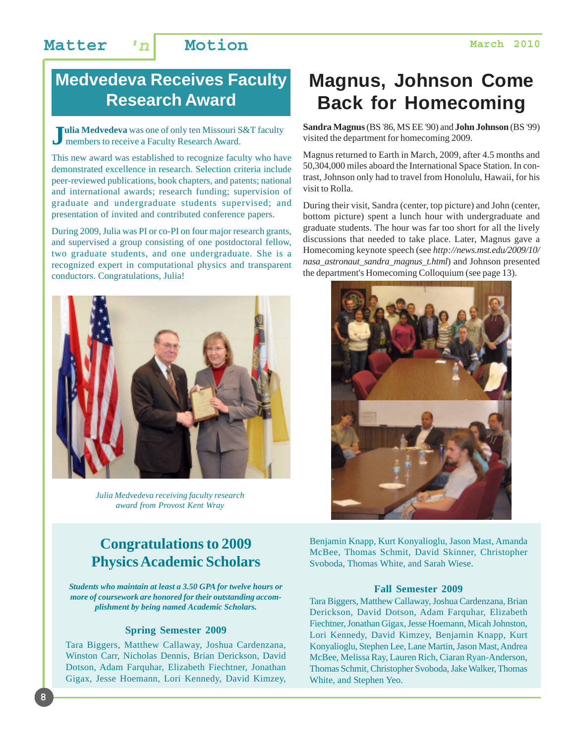## **Medvedeva Receives Faculty Research Award**

**Julia Medvedeva** was one of only ten Missouri S&T faculty members to receive a Faculty Research Award.

This new award was established to recognize faculty who have demonstrated excellence in research. Selection criteria include peer-reviewed publications, book chapters, and patents; national and international awards; research funding; supervision of graduate and undergraduate students supervised; and presentation of invited and contributed conference papers.

During 2009, Julia was PI or co-PI on four major research grants, and supervised a group consisting of one postdoctoral fellow, two graduate students, and one undergraduate. She is a recognized expert in computational physics and transparent conductors. Congratulations, Julia!



*Julia Medvedeva receiving faculty research award from Provost Kent Wray*

### **Congratulations to 2009 Physics Academic Scholars**

*Students who maintain at least a 3.50 GPA for twelve hours or more of coursework are honored for their outstanding accomplishment by being named Academic Scholars.*

#### **Spring Semester 2009**

Tara Biggers, Matthew Callaway, Joshua Cardenzana, Winston Carr, Nicholas Dennis, Brian Derickson, David Dotson, Adam Farquhar, Elizabeth Fiechtner, Jonathan Gigax, Jesse Hoemann, Lori Kennedy, David Kimzey,

# **Magnus, Johnson Come Back for Homecoming**

**Sandra Magnus** (BS '86, MS EE '90) and **John Johnson** (BS '99) visited the department for homecoming 2009.

Magnus returned to Earth in March, 2009, after 4.5 months and 50,304,000 miles aboard the International Space Station. In contrast, Johnson only had to travel from Honolulu, Hawaii, for his visit to Rolla.

During their visit, Sandra (center, top picture) and John (center, bottom picture) spent a lunch hour with undergraduate and graduate students. The hour was far too short for all the lively discussions that needed to take place. Later, Magnus gave a Homecoming keynote speech (see *http://news.mst.edu/2009/10/ nasa\_astronaut\_sandra\_magnus\_t.html*) and Johnson presented the department's Homecoming Colloquium (see page 13).



Benjamin Knapp, Kurt Konyalioglu, Jason Mast, Amanda McBee, Thomas Schmit, David Skinner, Christopher Svoboda, Thomas White, and Sarah Wiese.

#### **Fall Semester 2009**

Tara Biggers, Matthew Callaway, Joshua Cardenzana, Brian Derickson, David Dotson, Adam Farquhar, Elizabeth Fiechtner, Jonathan Gigax, Jesse Hoemann, Micah Johnston, Lori Kennedy, David Kimzey, Benjamin Knapp, Kurt Konyalioglu, Stephen Lee, Lane Martin, Jason Mast, Andrea McBee, Melissa Ray, Lauren Rich, Ciaran Ryan-Anderson, Thomas Schmit, Christopher Svoboda, Jake Walker, Thomas White, and Stephen Yeo.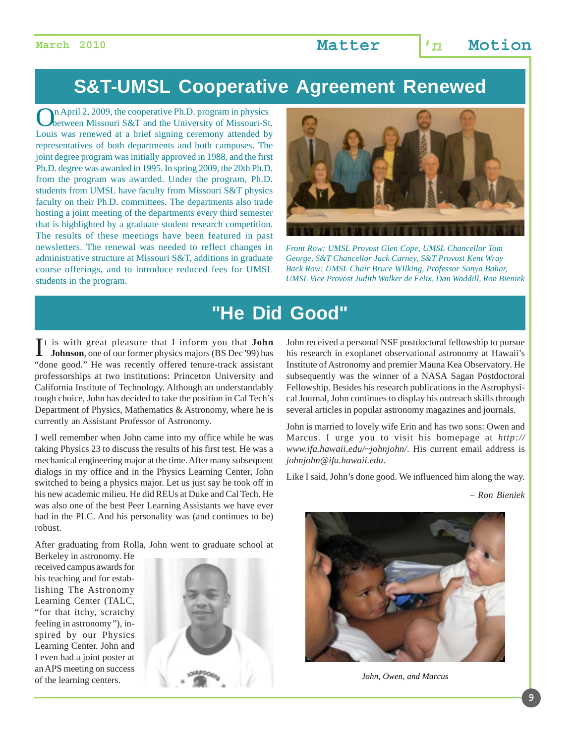## **S&T-UMSL Cooperative Agreement Renewed**

On April 2, 2009, the cooperative Ph.D. program in physics<br>
between Missouri S&T and the University of Missouri-St. Louis was renewed at a brief signing ceremony attended by representatives of both departments and both campuses. The joint degree program was initially approved in 1988, and the first Ph.D. degree was awarded in 1995. In spring 2009, the 20th Ph.D. from the program was awarded. Under the program, Ph.D. students from UMSL have faculty from Missouri S&T physics faculty on their Ph.D. committees. The departments also trade hosting a joint meeting of the departments every third semester that is highlighted by a graduate student research competition. The results of these meetings have been featured in past newsletters. The renewal was needed to reflect changes in administrative structure at Missouri S&T, additions in graduate course offerings, and to introduce reduced fees for UMSL students in the program.



*Front Row: UMSL Provost Glen Cope, UMSL Chancellor Tom George, S&T Chancellor Jack Carney, S&T Provost Kent Wray Back Row: UMSL Chair Bruce WIlking, Professor Sonya Bahar, UMSL Vice Provost Judith Walker de Felix, Dan Waddill, Ron Bieniek*

## **"He Did Good"**

It is with great pleasure that I inform you that **John**<br>**Johnson**, one of our former physics majors (BS Dec '99) has **Johnson**, one of our former physics majors (BS Dec '99) has "done good." He was recently offered tenure-track assistant professorships at two institutions: Princeton University and California Institute of Technology. Although an understandably tough choice, John has decided to take the position in Cal Tech's Department of Physics, Mathematics & Astronomy, where he is currently an Assistant Professor of Astronomy.

I well remember when John came into my office while he was taking Physics 23 to discuss the results of his first test. He was a mechanical engineering major at the time. After many subsequent dialogs in my office and in the Physics Learning Center, John switched to being a physics major. Let us just say he took off in his new academic milieu. He did REUs at Duke and Cal Tech. He was also one of the best Peer Learning Assistants we have ever had in the PLC. And his personality was (and continues to be) robust.

After graduating from Rolla, John went to graduate school at

Berkeley in astronomy. He received campus awards for his teaching and for establishing The Astronomy Learning Center (TALC, "for that itchy, scratchy feeling in astronomy*"*), inspired by our Physics Learning Center. John and I even had a joint poster at an APS meeting on success of the learning centers.



John received a personal NSF postdoctoral fellowship to pursue his research in exoplanet observational astronomy at Hawaii's Institute of Astronomy and premier Mauna Kea Observatory. He subsequently was the winner of a NASA Sagan Postdoctoral Fellowship. Besides his research publications in the Astrophysical Journal, John continues to display his outreach skills through several articles in popular astronomy magazines and journals.

John is married to lovely wife Erin and has two sons: Owen and Marcus. I urge you to visit his homepage at *http:// www.ifa.hawaii.edu/~johnjohn/*. His current email address is *johnjohn@ifa.hawaii.edu*.

Like I said, John's done good. We influenced him along the way.

*– Ron Bieniek*



*John, Owen, and Marcus*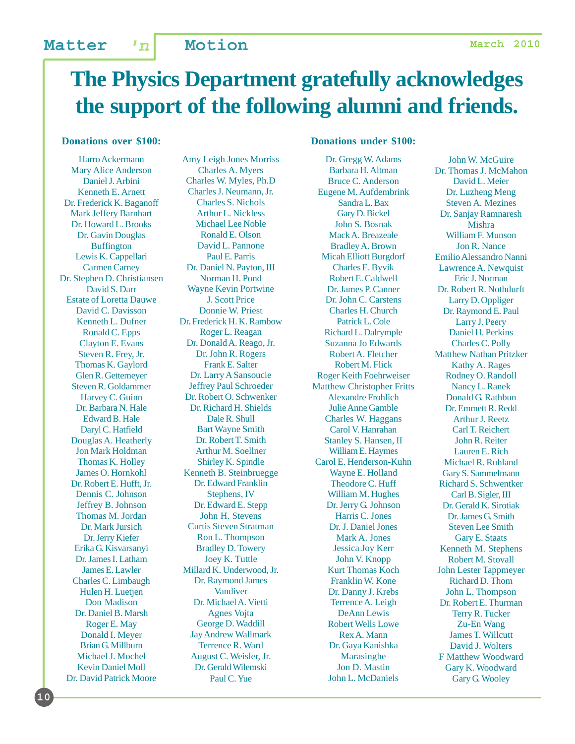# **The Physics Department gratefully acknowledges the support of the following alumni and friends.**

#### **Donations over \$100:**

Harro Ackermann Mary Alice Anderson Daniel J. Arbini Kenneth E. Arnett Dr. Frederick K. Baganoff Mark Jeffery Barnhart Dr. Howard L. Brooks Dr. Gavin Douglas Buffington Lewis K. Cappellari Carmen Carney Dr. Stephen D. Christiansen David S. Darr Estate of Loretta Dauwe David C. Davisson Kenneth L. Dufner Ronald C. Epps Clayton E. Evans Steven R. Frey, Jr. Thomas K. Gaylord Glen R. Gettemeyer Steven R. Goldammer Harvey C. Guinn Dr. Barbara N. Hale Edward B. Hale Daryl C. Hatfield Douglas A. Heatherly Jon Mark Holdman Thomas K. Holley James O. Hornkohl Dr. Robert E. Hufft, Jr. Dennis C. Johnson Jeffrey B. Johnson Thomas M. Jordan Dr. Mark Jursich Dr. Jerry Kiefer Erika G. Kisvarsanyi Dr. James I. Latham James E. Lawler Charles C. Limbaugh Hulen H. Luetjen Don Madison Dr. Daniel B. Marsh Roger E. May Donald I. Meyer Brian G. Millburn Michael J. Mochel Kevin Daniel Moll Dr. David Patrick Moore

**10**

Amy Leigh Jones Morriss Charles A. Myers Charles W. Myles, Ph.D Charles J. Neumann, Jr. Charles S. Nichols Arthur L. Nickless Michael Lee Noble Ronald E. Olson David L. Pannone Paul E. Parris Dr. Daniel N. Payton, III Norman H. Pond Wayne Kevin Portwine J. Scott Price Donnie W. Priest Dr. Frederick H. K. Rambow Roger L. Reagan Dr. Donald A. Reago, Jr. Dr. John R. Rogers Frank E. Salter Dr. Larry A Sansoucie Jeffrey Paul Schroeder Dr. Robert O. Schwenker Dr. Richard H. Shields Dale R. Shull Bart Wayne Smith Dr. Robert T. Smith Arthur M. Soellner Shirley K. Spindle Kenneth B. Steinbruegge Dr. Edward Franklin Stephens, IV Dr. Edward E. Stepp John H. Stevens Curtis Steven Stratman Ron L. Thompson Bradley D. Towery Joey K. Tuttle Millard K. Underwood, Jr. Dr. Raymond James Vandiver Dr. Michael A. Vietti Agnes Vojta George D. Waddill Jay Andrew Wallmark Terrence R. Ward August C. Weisler, Jr. Dr. Gerald Wilemski Paul C. Yue

#### **Donations under \$100:**

Dr. Gregg W. Adams Barbara H. Altman Bruce C. Anderson Eugene M. Aufdembrink Sandra L. Bax Gary D. Bickel John S. Bosnak Mack A. Breazeale Bradley A. Brown Micah Elliott Burgdorf Charles E. Byvik Robert E. Caldwell Dr. James P. Canner Dr. John C. Carstens Charles H. Church Patrick L. Cole Richard L. Dalrymple Suzanna Jo Edwards Robert A. Fletcher Robert M. Flick Roger Keith Foehrweiser Matthew Christopher Fritts Alexandre Frohlich Julie Anne Gamble Charles W. Haggans Carol V. Hanrahan Stanley S. Hansen, II William E. Haymes Carol E. Henderson-Kuhn Wayne E. Holland Theodore C. Huff William M. Hughes Dr. Jerry G. Johnson Harris C. Jones Dr. J. Daniel Jones Mark A. Jones Jessica Joy Kerr John V. Knopp Kurt Thomas Koch Franklin W. Kone Dr. Danny J. Krebs Terrence A. Leigh DeAnn Lewis Robert Wells Lowe Rex A. Mann Dr. Gaya Kanishka Marasinghe Jon D. Mastin John L. McDaniels

John W. McGuire Dr. Thomas J. McMahon David L. Meier Dr. Luzheng Meng Steven A. Mezines Dr. Sanjay Ramnaresh Mishra William F. Munson Jon R. Nance Emilio Alessandro Nanni Lawrence A. Newquist Eric J. Norman Dr. Robert R. Nothdurft Larry D. Oppliger Dr. Raymond E. Paul Larry J. Peery Daniel H. Perkins Charles C. Polly Matthew Nathan Pritzker Kathy A. Rages Rodney O. Randoll Nancy L. Ranek Donald G. Rathbun Dr. Emmett R. Redd Arthur J. Reetz Carl T. Reichert John R. Reiter Lauren E. Rich Michael R. Ruhland Gary S. Sammelmann Richard S. Schwentker Carl B. Sigler, III Dr. Gerald K. Sirotiak Dr. James G. Smith Steven Lee Smith Gary E. Staats Kenneth M. Stephens Robert M. Stovall John Lester Tappmeyer Richard D. Thom John L. Thompson Dr. Robert E. Thurman Terry R. Tucker Zu-En Wang James T. Willcutt David J. Wolters F Matthew Woodward Gary K. Woodward Gary G. Wooley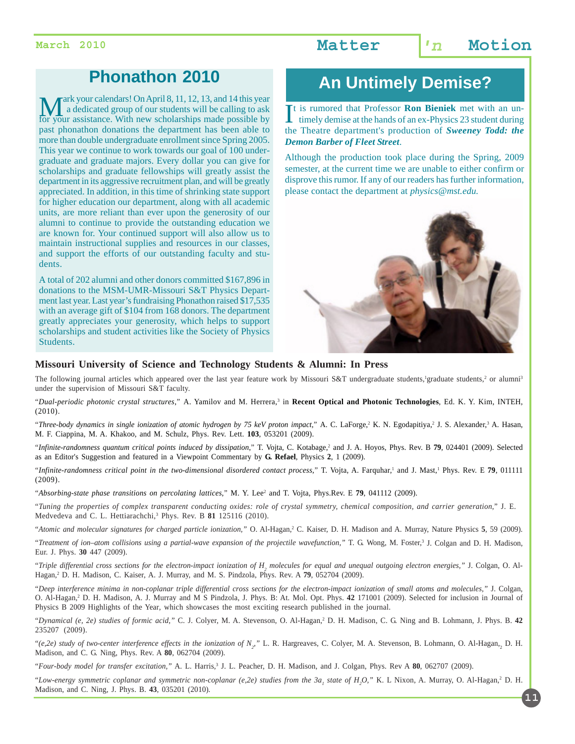## **Phonathon 2010**

Mark your calendars! On April 8, 11, 12, 13, and 14 this year a dedicated group of our students will be calling to ask for your assistance. With new scholarships made possible by a dedicated group of our students will be calling to ask past phonathon donations the department has been able to more than double undergraduate enrollment since Spring 2005. This year we continue to work towards our goal of 100 undergraduate and graduate majors. Every dollar you can give for scholarships and graduate fellowships will greatly assist the department in its aggressive recruitment plan, and will be greatly appreciated. In addition, in this time of shrinking state support for higher education our department, along with all academic units, are more reliant than ever upon the generosity of our alumni to continue to provide the outstanding education we are known for. Your continued support will also allow us to maintain instructional supplies and resources in our classes, and support the efforts of our outstanding faculty and students.

A total of 202 alumni and other donors committed \$167,896 in donations to the MSM-UMR-Missouri S&T Physics Department last year. Last year's fundraising Phonathon raised \$17,535 with an average gift of \$104 from 168 donors. The department greatly appreciates your generosity, which helps to support scholarships and student activities like the Society of Physics Students.

## **An Untimely Demise?**

It is rumored that Professor **Ron Bieniek** met with an un-<br>timely demise at the hands of an ex-Physics 23 student during timely demise at the hands of an ex-Physics 23 student during the Theatre department's production of *Sweeney Todd: the Demon Barber of Fleet Street*.

Although the production took place during the Spring, 2009 semester, at the current time we are unable to either confirm or disprove this rumor. If any of our readers has further information, please contact the department at *physics@mst.edu.*



#### **Missouri University of Science and Technology Students & Alumni: In Press**

The following journal articles which appeared over the last year feature work by Missouri S&T undergraduate students, graduate students,<sup>2</sup> or alumni<sup>3</sup> under the supervision of Missouri S&T faculty.

"*Dual-periodic photonic crystal structures*," A. Yamilov and M. Herrera,3 in **Recent Optical and Photonic Technologies**, Ed. K. Y. Kim, INTEH, (2010).

"Three-body dynamics in single ionization of atomic hydrogen by 75 keV proton impact," A. C. LaForge,<sup>2</sup> K. N. Egodapitiya,<sup>2</sup> J. S. Alexander,<sup>3</sup> A. Hasan, M. F. Ciappina, M. A. Khakoo, and M. Schulz, Phys. Rev. Lett. **103**, 053201 (2009).

"Infinite-randomness quantum critical points induced by dissipation," T. Vojta, C. Kotabage,<sup>2</sup> and J. A. Hoyos, Phys. Rev. B **79**, 024401 (2009). Selected as an Editor's Suggestion and featured in a Viewpoint Commentary by **G. Refael**, Physics **2**, 1 (2009).

"Infinite-randomness critical point in the two-dimensional disordered contact process," T. Vojta, A. Farquhar,<sup>1</sup> and J. Mast,<sup>1</sup> Phys. Rev. E **79**, 011111 (2009).

"*Absorbing-state phase transitions on percolating lattices*," M. Y. Lee<sup>2</sup> and T. Vojta, Phys.Rev. E **79**, 041112 (2009).

"*Tuning the properties of complex transparent conducting oxides: role of crystal symmetry, chemical composition, and carrier generation*," J. E. Medvedeva and C. L. Hettiarachchi,<sup>3</sup> Phys. Rev. B 81 125116 (2010).

"*Atomic and molecular signatures for charged particle ionization,"* O. Al-Hagan,2 C. Kaiser, D. H. Madison and A. Murray, Nature Physics **5**, 59 (2009).

"*Treatment of ion–atom collisions using a partial-wave expansion of the projectile wavefunction,"* T. G. Wong, M. Foster,3 J. Colgan and D. H. Madison, Eur. J. Phys. **30** 447 (2009).

"*Triple differential cross sections for the electron-impact ionization of H2 molecules for equal and unequal outgoing electron energies,"* J. Colgan, O. Al-Hagan,2 D. H. Madison, C. Kaiser, A. J. Murray, and M. S. Pindzola, Phys. Rev. A **79**, 052704 (2009).

"*Deep interference minima in non-coplanar triple differential cross sections for the electron-impact ionization of small atoms and molecules,"* J. Colgan, O. Al-Hagan,<sup>2</sup> D. H. Madison, A. J. Murray and M S Pindzola, J. Phys. B: At. Mol. Opt. Phys. 42 171001 (2009). Selected for inclusion in Journal of Physics B 2009 Highlights of the Year, which showcases the most exciting research published in the journal.

"Dynamical (e, 2e) studies of formic acid," C. J. Colyer, M. A. Stevenson, O. Al-Hagan,<sup>2</sup> D. H. Madison, C. G. Ning and B. Lohmann, J. Phys. B. 42 235207 (2009).

"(e,2e) study of two-center interference effects in the ionization of N<sub>2</sub>," L. R. Hargreaves, C. Colyer, M. A. Stevenson, B. Lohmann, O. Al-Hagan,<sub>2</sub> D. H. Madison, and C. G. Ning, Phys. Rev. A **80**, 062704 (2009).

"Four-body model for transfer excitation," A. L. Harris,<sup>3</sup> J. L. Peacher, D. H. Madison, and J. Colgan, Phys. Rev A 80, 062707 (2009).

"Low-energy symmetric coplanar and symmetric non-coplanar (e,2e) studies from the 3a<sub>1</sub> state of H<sub>2</sub>O," K. L Nixon, A. Murray, O. Al-Hagan,<sup>2</sup> D. H. Madison, and C. Ning, J. Phys. B. **43**, 035201 (2010)*.*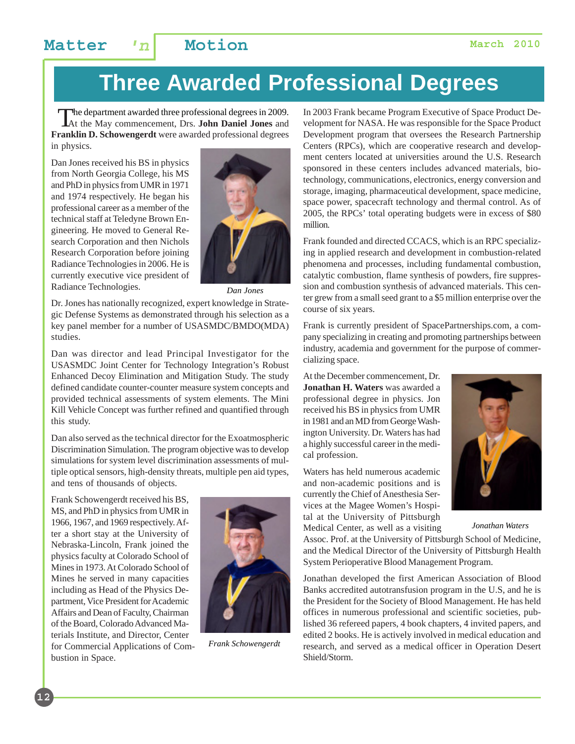# **Three Awarded Professional Degrees**

The department awarded three professional degrees in 2009. At the May commencement, Drs. **John Daniel Jones** and **Franklin D. Schowengerdt** were awarded professional degrees in physics.

Dan Jones received his BS in physics from North Georgia College, his MS and PhD in physics from UMR in 1971 and 1974 respectively. He began his professional career as a member of the technical staff at Teledyne Brown Engineering. He moved to General Research Corporation and then Nichols Research Corporation before joining Radiance Technologies in 2006. He is currently executive vice president of Radiance Technologies.



*Dan Jones*

Dr. Jones has nationally recognized, expert knowledge in Strategic Defense Systems as demonstrated through his selection as a key panel member for a number of USASMDC/BMDO(MDA) studies.

Dan was director and lead Principal Investigator for the USASMDC Joint Center for Technology Integration's Robust Enhanced Decoy Elimination and Mitigation Study. The study defined candidate counter-counter measure system concepts and provided technical assessments of system elements. The Mini Kill Vehicle Concept was further refined and quantified through this study.

Dan also served as the technical director for the Exoatmospheric Discrimination Simulation. The program objective was to develop simulations for system level discrimination assessments of multiple optical sensors, high-density threats, multiple pen aid types, and tens of thousands of objects.

Frank Schowengerdt received his BS, MS, and PhD in physics from UMR in 1966, 1967, and 1969 respectively. After a short stay at the University of Nebraska-Lincoln, Frank joined the physics faculty at Colorado School of Mines in 1973. At Colorado School of Mines he served in many capacities including as Head of the Physics Department, Vice President for Academic Affairs and Dean of Faculty, Chairman of the Board, Colorado Advanced Materials Institute, and Director, Center for Commercial Applications of Combustion in Space.



*Frank Schowengerdt*

In 2003 Frank became Program Executive of Space Product Development for NASA. He was responsible for the Space Product Development program that oversees the Research Partnership Centers (RPCs), which are cooperative research and development centers located at universities around the U.S. Research sponsored in these centers includes advanced materials, biotechnology, communications, electronics, energy conversion and storage, imaging, pharmaceutical development, space medicine, space power, spacecraft technology and thermal control. As of 2005, the RPCs' total operating budgets were in excess of \$80 million.

Frank founded and directed CCACS, which is an RPC specializing in applied research and development in combustion-related phenomena and processes, including fundamental combustion, catalytic combustion, flame synthesis of powders, fire suppression and combustion synthesis of advanced materials. This center grew from a small seed grant to a \$5 million enterprise over the course of six years.

Frank is currently president of SpacePartnerships.com, a company specializing in creating and promoting partnerships between industry, academia and government for the purpose of commercializing space.

At the December commencement, Dr. **Jonathan H. Waters** was awarded a professional degree in physics. Jon received his BS in physics from UMR in 1981 and an MD from George Washington University. Dr. Waters has had a highly successful career in the medical profession.

Waters has held numerous academic and non-academic positions and is currently the Chief of Anesthesia Services at the Magee Women's Hospital at the University of Pittsburgh Medical Center, as well as a visiting



*Jonathan Waters*

Assoc. Prof. at the University of Pittsburgh School of Medicine, and the Medical Director of the University of Pittsburgh Health System Perioperative Blood Management Program.

Jonathan developed the first American Association of Blood Banks accredited autotransfusion program in the U.S, and he is the President for the Society of Blood Management. He has held offices in numerous professional and scientific societies, published 36 refereed papers, 4 book chapters, 4 invited papers, and edited 2 books. He is actively involved in medical education and research, and served as a medical officer in Operation Desert Shield/Storm.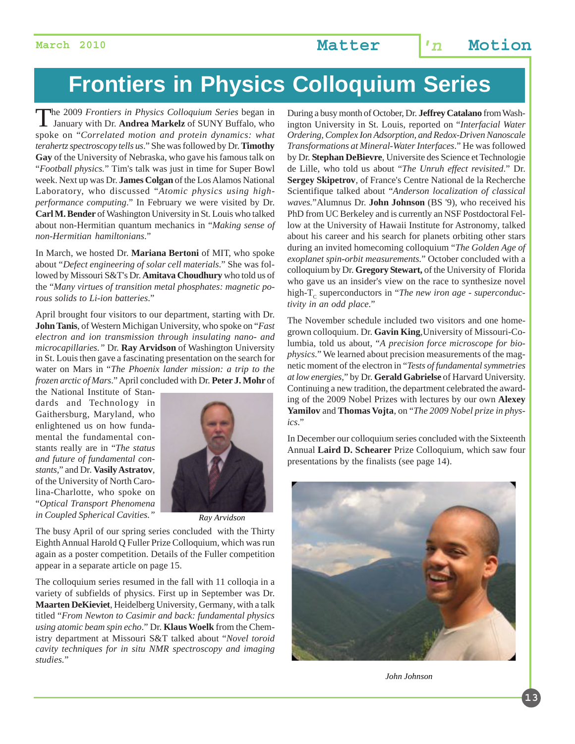# **Frontiers in Physics Colloquium Series**

The 2009 *Frontiers in Physics Colloquium Series* began in January with Dr. **Andrea Markelz** of SUNY Buffalo, who spoke on "*Correlated motion and protein dynamics: what terahertz spectroscopy tells us*." She was followed by Dr. **Timothy Gay** of the University of Nebraska, who gave his famous talk on "*Football physics.*" Tim's talk was just in time for Super Bowl week. Next up was Dr. **James Colgan** of the Los Alamos National Laboratory, who discussed "*Atomic physics using highperformance computing*." In February we were visited by Dr. **Carl M. Bender** of Washington University in St. Louis who talked about non-Hermitian quantum mechanics in "*Making sense of non-Hermitian hamiltonians*."

In March, we hosted Dr. **Mariana Bertoni** of MIT, who spoke about "*Defect engineering of solar cell materials*." She was followed by Missouri S&T's Dr. **Amitava Choudhury** who told us of the "*Many virtues of transition metal phosphates: magnetic porous solids to Li-ion batteries*."

April brought four visitors to our department, starting with Dr. **John Tanis**, of Western Michigan University, who spoke on "*Fast electron and ion transmission through insulating nano- and microcapillaries."* Dr. **Ray Arvidson** of Washington University in St. Louis then gave a fascinating presentation on the search for water on Mars in "*The Phoenix lander mission: a trip to the frozen arctic of Mars*." April concluded with Dr. **Peter J. Mohr** of

the National Institute of Standards and Technology in Gaithersburg, Maryland, who enlightened us on how fundamental the fundamental constants really are in "*The status and future of fundamental constants,*" and Dr. **Vasily Astratov***,* of the University of North Carolina-Charlotte, who spoke on "*Optical Transport Phenomena in Coupled Spherical Cavities."*



*Ray Arvidson*

The busy April of our spring series concluded with the Thirty Eighth Annual Harold Q Fuller Prize Colloquium, which was run again as a poster competition. Details of the Fuller competition appear in a separate article on page 15.

The colloquium series resumed in the fall with 11 colloqia in a variety of subfields of physics. First up in September was Dr. **Maarten DeKieviet**, Heidelberg University*,* Germany*,* with a talk titled "*From Newton to Casimir and back: fundamental physics using atomic beam spin echo*." Dr. **Klaus Woelk** from the Chemistry department at Missouri S&T talked about "*Novel toroid cavity techniques for in situ NMR spectroscopy and imaging studies.*"

During a busy month of October, Dr. **Jeffrey Catalano** from Washington University in St. Louis, reported on "*Interfacial Water Ordering, Complex Ion Adsorption, and Redox-Driven Nanoscale Transformations at Mineral-Water Interfaces*." He was followed by Dr. **Stephan DeBievre**, Universite des Science et Technologie de Lille, who told us about "*The Unruh effect revisited*." Dr. **Sergey Skipetrov**, of France's Centre National de la Recherche Scientifique talked about "*Anderson localization of classical waves.*"Alumnus Dr. **John Johnson** (BS '9), who received his PhD from UC Berkeley and is currently an NSF Postdoctoral Fellow at the University of Hawaii Institute for Astronomy, talked about his career and his search for planets orbiting other stars during an invited homecoming colloquium "*The Golden Age of exoplanet spin-orbit measurements*." October concluded with a colloquium by Dr. **Gregory Stewart,** of the University of Florida who gave us an insider's view on the race to synthesize novel high-T<sub>c</sub> superconductors in "*The new iron age - superconductivity in an odd place*."

The November schedule included two visitors and one homegrown colloquium. Dr. **Gavin King**,University of Missouri-Columbia, told us about, "*A precision force microscope for biophysics*." We learned about precision measurements of the magnetic moment of the electron in "*Tests of fundamental symmetries at low energies,*" by Dr. **Gerald Gabrielse** of Harvard University. Continuing a new tradition, the department celebrated the awarding of the 2009 Nobel Prizes with lectures by our own **Alexey Yamilov** and **Thomas Vojta**, on "*The 2009 Nobel prize in physics*."

In December our colloquium series concluded with the Sixteenth Annual **Laird D. Schearer** Prize Colloquium, which saw four presentations by the finalists (see page 14).



*John Johnson*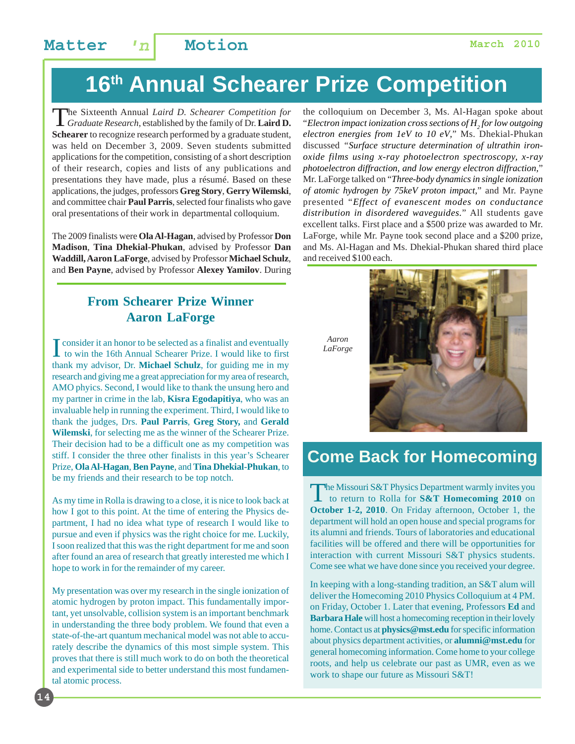# **16th Annual Schearer Prize Competition**

The Sixteenth Annual *Laird D. Schearer Competition for Graduate Research*, established by the family of Dr. **Laird D. Schearer** to recognize research performed by a graduate student, was held on December 3, 2009. Seven students submitted applications for the competition, consisting of a short description of their research, copies and lists of any publications and presentations they have made, plus a résumé. Based on these applications, the judges, professors **Greg Story**, **Gerry Wilemski**, and committee chair **Paul Parris**, selected four finalists who gave oral presentations of their work in departmental colloquium.

The 2009 finalists were **Ola Al-Hagan**, advised by Professor **Don Madison**, **Tina Dhekial-Phukan**, advised by Professor **Dan Waddill, Aaron LaForge**, advised by Professor **Michael Schulz**, and **Ben Payne**, advised by Professor **Alexey Yamilov**. During

#### **From Schearer Prize Winner Aaron LaForge**

I consider it an honor to be selected as a finalist and eventually<br>to win the 16th Annual Schearer Prize. I would like to first to win the 16th Annual Schearer Prize. I would like to first thank my advisor, Dr. **Michael Schulz**, for guiding me in my research and giving me a great appreciation for my area of research, AMO phyics. Second, I would like to thank the unsung hero and my partner in crime in the lab, **Kisra Egodapitiya**, who was an invaluable help in running the experiment. Third, I would like to thank the judges, Drs. **Paul Parris**, **Greg Story,** and **Gerald Wilemski**, for selecting me as the winner of the Schearer Prize. Their decision had to be a difficult one as my competition was stiff. I consider the three other finalists in this year's Schearer Prize, **Ola Al-Hagan**, **Ben Payne**, and **Tina Dhekial-Phukan**, to be my friends and their research to be top notch.

As my time in Rolla is drawing to a close, it is nice to look back at how I got to this point. At the time of entering the Physics department, I had no idea what type of research I would like to pursue and even if physics was the right choice for me. Luckily, I soon realized that this was the right department for me and soon after found an area of research that greatly interested me which I hope to work in for the remainder of my career.

My presentation was over my research in the single ionization of atomic hydrogen by proton impact. This fundamentally important, yet unsolvable, collision system is an important benchmark in understanding the three body problem. We found that even a state-of-the-art quantum mechanical model was not able to accurately describe the dynamics of this most simple system. This proves that there is still much work to do on both the theoretical and experimental side to better understand this most fundamental atomic process.

**14**

the colloquium on December 3, Ms. Al-Hagan spoke about "*Electron impact ionization cross sections of H2 for low outgoing electron energies from 1eV to 10 eV,*" Ms. Dhekial-Phukan discussed *"Surface structure determination of ultrathin ironoxide films using x-ray photoelectron spectroscopy, x-ray photoelectron diffraction, and low energy electron diffraction,*" Mr. LaForge talked on "*Three-body dynamics in single ionization of atomic hydrogen by 75keV proton impact,*" and Mr. Payne presented "*Effect of evanescent modes on conductance distribution in disordered waveguides.*" All students gave excellent talks. First place and a \$500 prize was awarded to Mr. LaForge, while Mr. Payne took second place and a \$200 prize, and Ms. Al-Hagan and Ms. Dhekial-Phukan shared third place and received \$100 each.





## **Come Back for Homecoming**

The Missouri S&T Physics Department warmly invites you<br>to return to Rolla for **S&T Homecoming 2010** on **October 1-2, 2010**. On Friday afternoon, October 1, the department will hold an open house and special programs for its alumni and friends. Tours of laboratories and educational facilities will be offered and there will be opportunities for interaction with current Missouri S&T physics students. Come see what we have done since you received your degree.

In keeping with a long-standing tradition, an S&T alum will deliver the Homecoming 2010 Physics Colloquium at 4 PM. on Friday, October 1. Later that evening, Professors **Ed** and **Barbara Hale** will host a homecoming reception in their lovely home. Contact us at **physics@mst.edu** for specific information about physics department activities, or **alumni@mst.edu** for general homecoming information. Come home to your college roots, and help us celebrate our past as UMR, even as we work to shape our future as Missouri S&T!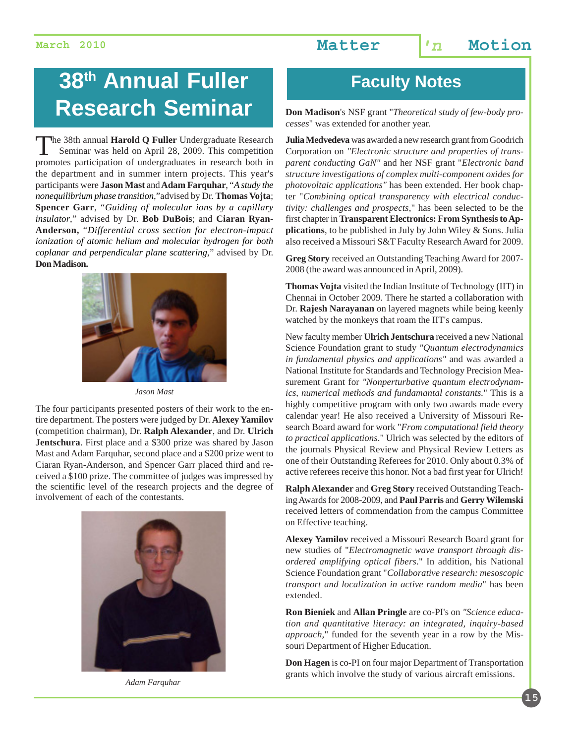# **38<sup>th</sup> Annual Fuller The Faculty Notes Research Seminar**

The 38th annual **Harold Q Fuller** Undergraduate Research Seminar was held on April 28, 2009. This competition promotes participation of undergraduates in research both in the department and in summer intern projects. This year's participants were **Jason Mast** and **Adam Farquhar**, "*A study the nonequilibrium phase transition*,"advised by Dr. **Thomas Vojta**; **Spencer Garr**, "*Guiding of molecular ions by a capillary insulator*," advised by Dr. **Bob DuBois**; and **Ciaran Ryan-Anderson,** "*Differential cross section for electron-impact ionization of atomic helium and molecular hydrogen for both coplanar and perpendicular plane scattering*," advised by Dr. **Don Madison.**



*Jason Mast*

The four participants presented posters of their work to the entire department. The posters were judged by Dr. **Alexey Yamilov** (competition chairman), Dr. **Ralph Alexander**, and Dr. **Ulrich Jentschura**. First place and a \$300 prize was shared by Jason Mast and Adam Farquhar, second place and a \$200 prize went to Ciaran Ryan-Anderson, and Spencer Garr placed third and received a \$100 prize. The committee of judges was impressed by the scientific level of the research projects and the degree of involvement of each of the contestants.



*Adam Farquhar*

**Don Madison**'s NSF grant "*Theoretical study of few-body processes*" was extended for another year.

**Julia Medvedeva** was awarded a new research grant from Goodrich Corporation on *"Electronic structure and properties of transparent conducting GaN"* and her NSF grant "*Electronic band structure investigations of complex multi-component oxides for photovoltaic applications"* has been extended. Her book chapter "*Combining optical transparency with electrical conductivity: challenges and prospects*," has been selected to be the first chapter in **Transparent Electronics: From Synthesis to Applications**, to be published in July by John Wiley & Sons. Julia also received a Missouri S&T Faculty Research Award for 2009.

**Greg Story** received an Outstanding Teaching Award for 2007- 2008 (the award was announced in April, 2009).

**Thomas Vojta** visited the Indian Institute of Technology (IIT) in Chennai in October 2009. There he started a collaboration with Dr. **Rajesh Narayanan** on layered magnets while being keenly watched by the monkeys that roam the IIT's campus.

New faculty member **Ulrich Jentschura** received a new National Science Foundation grant to study *"Quantum electrodynamics in fundamental physics and applications"* and was awarded a National Institute for Standards and Technology Precision Measurement Grant for *"Nonperturbative quantum electrodynamics, numerical methods and fundamantal constants.*" This is a highly competitive program with only two awards made every calendar year! He also received a University of Missouri Research Board award for work "*From computational field theory to practical applications*." Ulrich was selected by the editors of the journals Physical Review and Physical Review Letters as one of their Outstanding Referees for 2010. Only about 0.3% of active referees receive this honor. Not a bad first year for Ulrich!

**Ralph Alexander** and **Greg Story** received Outstanding Teaching Awards for 2008-2009, and **Paul Parris** and **Gerry Wilemski** received letters of commendation from the campus Committee on Effective teaching.

**Alexey Yamilov** received a Missouri Research Board grant for new studies of "*Electromagnetic wave transport through disordered amplifying optical fibers*." In addition, his National Science Foundation grant "*Collaborative research: mesoscopic transport and localization in active random media*" has been extended.

**Ron Bieniek** and **Allan Pringle** are co-PI's on *"Science education and quantitative literacy: an integrated, inquiry-based approach,*" funded for the seventh year in a row by the Missouri Department of Higher Education.

**Don Hagen** is co-PI on four major Department of Transportation grants which involve the study of various aircraft emissions.